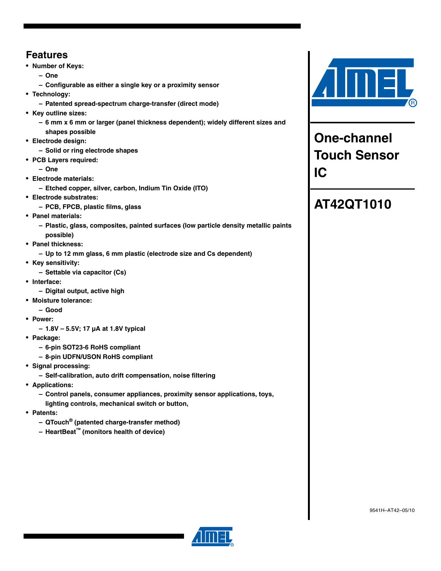# **Features**

- **Number of Keys:**
	- **One**
	- **Configurable as either a single key or a proximity sensor**
- **Technology:**
	- **Patented spread-spectrum charge-transfer (direct mode)**
- **Key outline sizes:**
	- **6 mm x 6 mm or larger (panel thickness dependent); widely different sizes and shapes possible**
- **Electrode design:**
	- **Solid or ring electrode shapes**
- **PCB Layers required:**
	- **One**
- **Electrode materials:**
	- **Etched copper, silver, carbon, Indium Tin Oxide (ITO)**
- **Electrode substrates:**
	- **PCB, FPCB, plastic films, glass**
- **Panel materials:**
	- **Plastic, glass, composites, painted surfaces (low particle density metallic paints possible)**
- **Panel thickness:**
	- **Up to 12 mm glass, 6 mm plastic (electrode size and Cs dependent)**
- **Key sensitivity:**
	- **Settable via capacitor (Cs)**
- **Interface:**
	- **Digital output, active high**
- **Moisture tolerance:**
	- **Good**
- **Power:**
	- **1.8V 5.5V; 17 µA at 1.8V typical**
- **Package:**
	- **6-pin SOT23-6 RoHS compliant**
	- **8-pin UDFN/USON RoHS compliant**
- **Signal processing:**
	- **Self-calibration, auto drift compensation, noise filtering**
- **Applications:**
	- **Control panels, consumer appliances, proximity sensor applications, toys,**
	- **lighting controls, mechanical switch or button,**
- **Patents:**
	- **QTouch® (patented charge-transfer method)**
	- **HeartBeat™ (monitors health of device)**



**One-channel Touch Sensor IC**

# **AT42QT1010**



9541H–AT42–05/10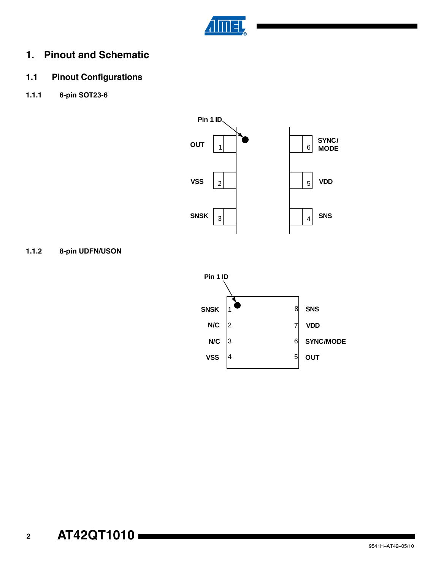

# **1. Pinout and Schematic**

# **1.1 Pinout Configurations**

**1.1.1 6-pin SOT23-6**



**1.1.2 8-pin UDFN/USON**

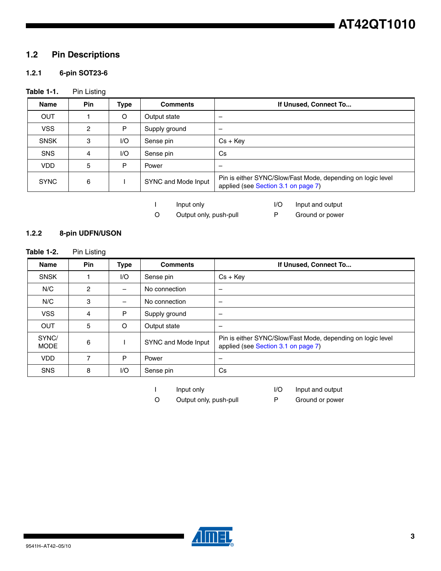# **1.2 Pin Descriptions**

# **1.2.1 6-pin SOT23-6**

# Table 1-1. Pin Listing

| <b>Name</b> | <b>Pin</b> | <b>Type</b> | <b>Comments</b>     | If Unused, Connect To                                                                              |
|-------------|------------|-------------|---------------------|----------------------------------------------------------------------------------------------------|
| <b>OUT</b>  |            | O           | Output state        |                                                                                                    |
| <b>VSS</b>  | 2          | P           | Supply ground       |                                                                                                    |
| <b>SNSK</b> | 3          | I/O         | Sense pin           | $Cs + KeV$                                                                                         |
| <b>SNS</b>  | 4          | 1/O         | Sense pin           | Cs                                                                                                 |
| <b>VDD</b>  | 5          | P           | Power               |                                                                                                    |
| <b>SYNC</b> | 6          |             | SYNC and Mode Input | Pin is either SYNC/Slow/Fast Mode, depending on logic level<br>applied (see Section 3.1 on page 7) |

I Input only I/O Input and output

O Output only, push-pull P Ground or power

#### **1.2.2 8-pin UDFN/USON**

| <b>Name</b>          | Pin           | <b>Type</b>              | <b>Comments</b>     | If Unused, Connect To                                                                              |
|----------------------|---------------|--------------------------|---------------------|----------------------------------------------------------------------------------------------------|
| <b>SNSK</b>          |               | 1/O                      | Sense pin           | $Cs + Key$                                                                                         |
| N/C                  | $\mathcal{P}$ |                          | No connection       |                                                                                                    |
| N/C                  | 3             | $\overline{\phantom{0}}$ | No connection       |                                                                                                    |
| <b>VSS</b>           | 4             | P                        | Supply ground       |                                                                                                    |
| <b>OUT</b>           | 5             | $\circ$                  | Output state        | -                                                                                                  |
| SYNC/<br><b>MODE</b> | 6             |                          | SYNC and Mode Input | Pin is either SYNC/Slow/Fast Mode, depending on logic level<br>applied (see Section 3.1 on page 7) |
| <b>VDD</b>           | 7             | P                        | Power               | -                                                                                                  |
| <b>SNS</b>           | 8             | 1/O                      | Sense pin           | <b>Cs</b>                                                                                          |

I Input only I/O Input and output

O Output only, push-pull P Ground or power

![](_page_2_Picture_15.jpeg)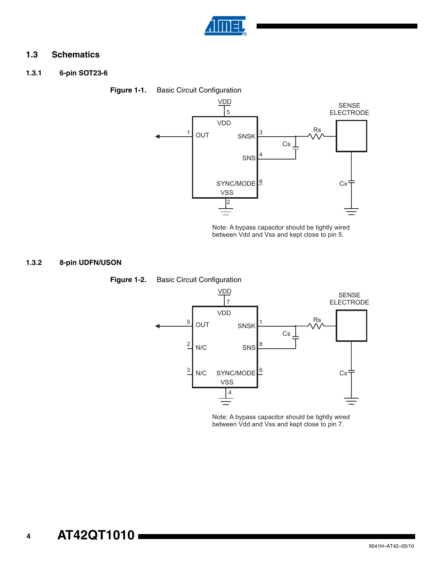![](_page_3_Picture_0.jpeg)

# **1.3 Schematics**

**1.3.1 6-pin SOT23-6**

<span id="page-3-0"></span>![](_page_3_Figure_3.jpeg)

Note: A bypass capacitor should be tightly wired between Vdd and Vss and kept close to pin 5.

## **1.3.2 8-pin UDFN/USON**

![](_page_3_Figure_6.jpeg)

Note: A bypass capacitor should be tightly wired between Vdd and Vss and kept close to pin 7.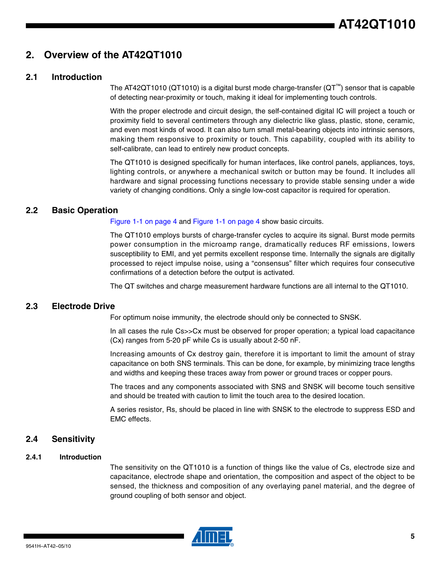# **2. Overview of the AT42QT1010**

## **2.1 Introduction**

The AT42QT1010 (QT1010) is a digital burst mode charge-transfer (QT™) sensor that is capable of detecting near-proximity or touch, making it ideal for implementing touch controls.

With the proper electrode and circuit design, the self-contained digital IC will project a touch or proximity field to several centimeters through any dielectric like glass, plastic, stone, ceramic, and even most kinds of wood. It can also turn small metal-bearing objects into intrinsic sensors, making them responsive to proximity or touch. This capability, coupled with its ability to self-calibrate, can lead to entirely new product concepts.

The QT1010 is designed specifically for human interfaces, like control panels, appliances, toys, lighting controls, or anywhere a mechanical switch or button may be found. It includes all hardware and signal processing functions necessary to provide stable sensing under a wide variety of changing conditions. Only a single low-cost capacitor is required for operation.

## **2.2 Basic Operation**

[Figure 1-1 on page 4](#page-3-0) and [Figure 1-1 on page 4](#page-3-0) show basic circuits.

The QT1010 employs bursts of charge-transfer cycles to acquire its signal. Burst mode permits power consumption in the microamp range, dramatically reduces RF emissions, lowers susceptibility to EMI, and yet permits excellent response time. Internally the signals are digitally processed to reject impulse noise, using a "consensus" filter which requires four consecutive confirmations of a detection before the output is activated.

The QT switches and charge measurement hardware functions are all internal to the QT1010.

## **2.3 Electrode Drive**

For optimum noise immunity, the electrode should only be connected to SNSK.

In all cases the rule Cs>>Cx must be observed for proper operation; a typical load capacitance (Cx) ranges from 5-20 pF while Cs is usually about 2-50 nF.

Increasing amounts of Cx destroy gain, therefore it is important to limit the amount of stray capacitance on both SNS terminals. This can be done, for example, by minimizing trace lengths and widths and keeping these traces away from power or ground traces or copper pours.

The traces and any components associated with SNS and SNSK will become touch sensitive and should be treated with caution to limit the touch area to the desired location.

A series resistor, Rs, should be placed in line with SNSK to the electrode to suppress ESD and EMC effects.

#### **2.4 Sensitivity**

#### **2.4.1 Introduction**

The sensitivity on the QT1010 is a function of things like the value of Cs, electrode size and capacitance, electrode shape and orientation, the composition and aspect of the object to be sensed, the thickness and composition of any overlaying panel material, and the degree of ground coupling of both sensor and object.

![](_page_4_Picture_19.jpeg)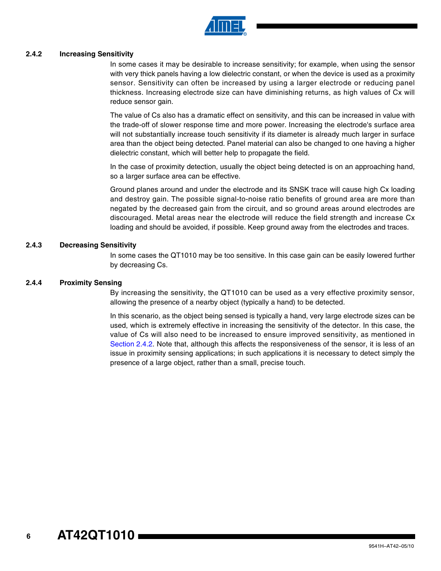![](_page_5_Picture_0.jpeg)

#### <span id="page-5-0"></span>**2.4.2 Increasing Sensitivity**

In some cases it may be desirable to increase sensitivity; for example, when using the sensor with very thick panels having a low dielectric constant, or when the device is used as a proximity sensor. Sensitivity can often be increased by using a larger electrode or reducing panel thickness. Increasing electrode size can have diminishing returns, as high values of Cx will reduce sensor gain.

The value of Cs also has a dramatic effect on sensitivity, and this can be increased in value with the trade-off of slower response time and more power. Increasing the electrode's surface area will not substantially increase touch sensitivity if its diameter is already much larger in surface area than the object being detected. Panel material can also be changed to one having a higher dielectric constant, which will better help to propagate the field.

In the case of proximity detection, usually the object being detected is on an approaching hand, so a larger surface area can be effective.

Ground planes around and under the electrode and its SNSK trace will cause high Cx loading and destroy gain. The possible signal-to-noise ratio benefits of ground area are more than negated by the decreased gain from the circuit, and so ground areas around electrodes are discouraged. Metal areas near the electrode will reduce the field strength and increase Cx loading and should be avoided, if possible. Keep ground away from the electrodes and traces.

#### **2.4.3 Decreasing Sensitivity**

In some cases the QT1010 may be too sensitive. In this case gain can be easily lowered further by decreasing Cs.

#### **2.4.4 Proximity Sensing**

By increasing the sensitivity, the QT1010 can be used as a very effective proximity sensor, allowing the presence of a nearby object (typically a hand) to be detected.

In this scenario, as the object being sensed is typically a hand, very large electrode sizes can be used, which is extremely effective in increasing the sensitivity of the detector. In this case, the value of Cs will also need to be increased to ensure improved sensitivity, as mentioned in [Section 2.4.2.](#page-5-0) Note that, although this affects the responsiveness of the sensor, it is less of an issue in proximity sensing applications; in such applications it is necessary to detect simply the presence of a large object, rather than a small, precise touch.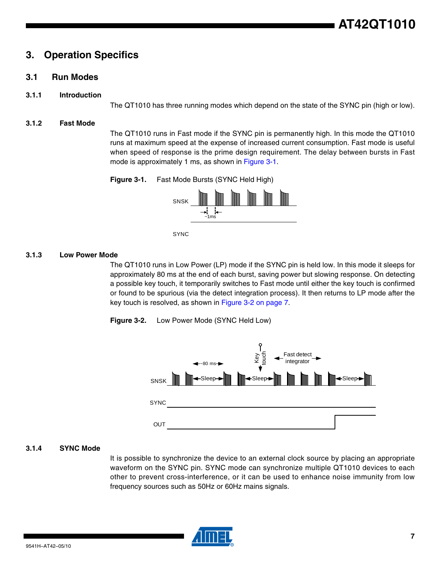# **3. Operation Specifics**

# <span id="page-6-0"></span>**3.1 Run Modes**

#### **3.1.1 Introduction**

The QT1010 has three running modes which depend on the state of the SYNC pin (high or low).

#### **3.1.2 Fast Mode**

The QT1010 runs in Fast mode if the SYNC pin is permanently high. In this mode the QT1010 runs at maximum speed at the expense of increased current consumption. Fast mode is useful when speed of response is the prime design requirement. The delay between bursts in Fast mode is approximately 1 ms, as shown in [Figure 3-1](#page-6-2).

<span id="page-6-2"></span>**Figure 3-1.** Fast Mode Bursts (SYNC Held High)

![](_page_6_Figure_8.jpeg)

SYNC

#### **3.1.3 Low Power Mode**

The QT1010 runs in Low Power (LP) mode if the SYNC pin is held low. In this mode it sleeps for approximately 80 ms at the end of each burst, saving power but slowing response. On detecting a possible key touch, it temporarily switches to Fast mode until either the key touch is confirmed or found to be spurious (via the detect integration process). It then returns to LP mode after the key touch is resolved, as shown in [Figure 3-2 on page 7](#page-6-1).

<span id="page-6-1"></span>![](_page_6_Figure_12.jpeg)

![](_page_6_Figure_13.jpeg)

#### **3.1.4 SYNC Mode**

It is possible to synchronize the device to an external clock source by placing an appropriate waveform on the SYNC pin. SYNC mode can synchronize multiple QT1010 devices to each other to prevent cross-interference, or it can be used to enhance noise immunity from low frequency sources such as 50Hz or 60Hz mains signals.

![](_page_6_Picture_16.jpeg)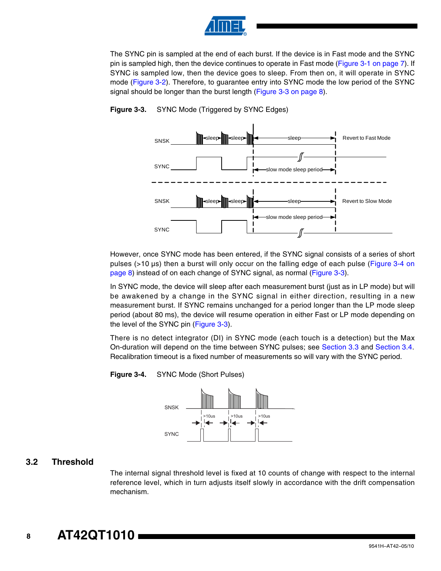![](_page_7_Picture_0.jpeg)

The SYNC pin is sampled at the end of each burst. If the device is in Fast mode and the SYNC pin is sampled high, then the device continues to operate in Fast mode [\(Figure 3-1 on page 7\)](#page-6-2). If SYNC is sampled low, then the device goes to sleep. From then on, it will operate in SYNC mode ([Figure 3-2](#page-6-1)). Therefore, to guarantee entry into SYNC mode the low period of the SYNC signal should be longer than the burst length ([Figure 3-3 on page 8\)](#page-7-0).

![](_page_7_Figure_2.jpeg)

#### <span id="page-7-0"></span>**Figure 3-3.** SYNC Mode (Triggered by SYNC Edges)

However, once SYNC mode has been entered, if the SYNC signal consists of a series of short pulses (>10 µs) then a burst will only occur on the falling edge of each pulse [\(Figure 3-4 on](#page-7-1) [page 8\)](#page-7-1) instead of on each change of SYNC signal, as normal [\(Figure 3-3\)](#page-7-0).

In SYNC mode, the device will sleep after each measurement burst (just as in LP mode) but will be awakened by a change in the SYNC signal in either direction, resulting in a new measurement burst. If SYNC remains unchanged for a period longer than the LP mode sleep period (about 80 ms), the device will resume operation in either Fast or LP mode depending on the level of the SYNC pin ([Figure 3-3](#page-7-0)).

There is no detect integrator (DI) in SYNC mode (each touch is a detection) but the Max On-duration will depend on the time between SYNC pulses; see [Section 3.3](#page-8-1) and [Section 3.4.](#page-8-0) Recalibration timeout is a fixed number of measurements so will vary with the SYNC period.

<span id="page-7-1"></span>![](_page_7_Figure_7.jpeg)

![](_page_7_Figure_8.jpeg)

## **3.2 Threshold**

The internal signal threshold level is fixed at 10 counts of change with respect to the internal reference level, which in turn adjusts itself slowly in accordance with the drift compensation mechanism.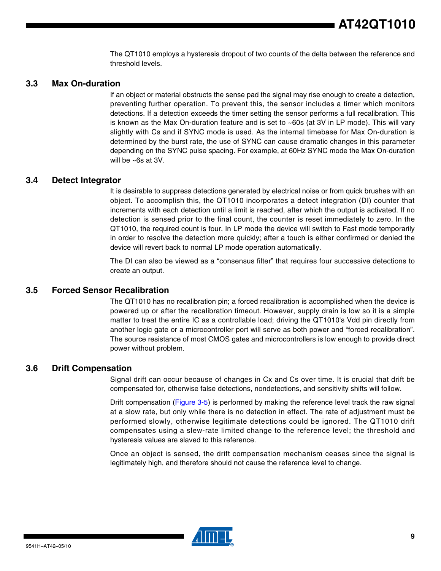The QT1010 employs a hysteresis dropout of two counts of the delta between the reference and threshold levels.

## <span id="page-8-1"></span>**3.3 Max On-duration**

If an object or material obstructs the sense pad the signal may rise enough to create a detection, preventing further operation. To prevent this, the sensor includes a timer which monitors detections. If a detection exceeds the timer setting the sensor performs a full recalibration. This is known as the Max On-duration feature and is set to ~60s (at 3V in LP mode). This will vary slightly with Cs and if SYNC mode is used. As the internal timebase for Max On-duration is determined by the burst rate, the use of SYNC can cause dramatic changes in this parameter depending on the SYNC pulse spacing. For example, at 60Hz SYNC mode the Max On-duration will be ~6s at 3V.

## <span id="page-8-0"></span>**3.4 Detect Integrator**

It is desirable to suppress detections generated by electrical noise or from quick brushes with an object. To accomplish this, the QT1010 incorporates a detect integration (DI) counter that increments with each detection until a limit is reached, after which the output is activated. If no detection is sensed prior to the final count, the counter is reset immediately to zero. In the QT1010, the required count is four. In LP mode the device will switch to Fast mode temporarily in order to resolve the detection more quickly; after a touch is either confirmed or denied the device will revert back to normal LP mode operation automatically.

The DI can also be viewed as a "consensus filter" that requires four successive detections to create an output.

## **3.5 Forced Sensor Recalibration**

The QT1010 has no recalibration pin; a forced recalibration is accomplished when the device is powered up or after the recalibration timeout. However, supply drain is low so it is a simple matter to treat the entire IC as a controllable load; driving the QT1010's Vdd pin directly from another logic gate or a microcontroller port will serve as both power and "forced recalibration". The source resistance of most CMOS gates and microcontrollers is low enough to provide direct power without problem.

#### **3.6 Drift Compensation**

Signal drift can occur because of changes in Cx and Cs over time. It is crucial that drift be compensated for, otherwise false detections, nondetections, and sensitivity shifts will follow.

Drift compensation [\(Figure 3-5\)](#page-9-0) is performed by making the reference level track the raw signal at a slow rate, but only while there is no detection in effect. The rate of adjustment must be performed slowly, otherwise legitimate detections could be ignored. The QT1010 drift compensates using a slew-rate limited change to the reference level; the threshold and hysteresis values are slaved to this reference.

Once an object is sensed, the drift compensation mechanism ceases since the signal is legitimately high, and therefore should not cause the reference level to change.

![](_page_8_Picture_13.jpeg)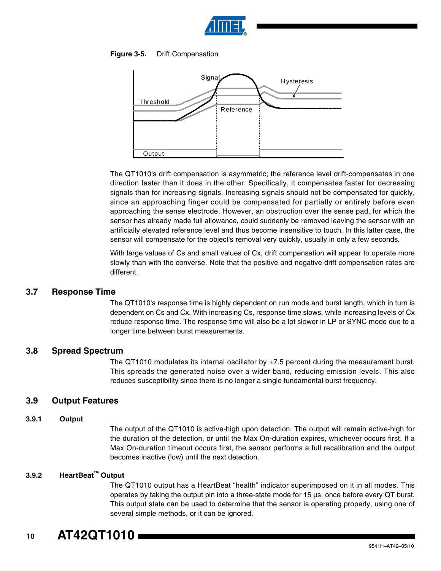![](_page_9_Picture_0.jpeg)

#### <span id="page-9-0"></span>**Figure 3-5.** Drift Compensation

![](_page_9_Figure_2.jpeg)

The QT1010's drift compensation is asymmetric; the reference level drift-compensates in one direction faster than it does in the other. Specifically, it compensates faster for decreasing signals than for increasing signals. Increasing signals should not be compensated for quickly, since an approaching finger could be compensated for partially or entirely before even approaching the sense electrode. However, an obstruction over the sense pad, for which the sensor has already made full allowance, could suddenly be removed leaving the sensor with an artificially elevated reference level and thus become insensitive to touch. In this latter case, the sensor will compensate for the object's removal very quickly, usually in only a few seconds.

With large values of Cs and small values of Cx, drift compensation will appear to operate more slowly than with the converse. Note that the positive and negative drift compensation rates are different.

## **3.7 Response Time**

The QT1010's response time is highly dependent on run mode and burst length, which in turn is dependent on Cs and Cx. With increasing Cs, response time slows, while increasing levels of Cx reduce response time. The response time will also be a lot slower in LP or SYNC mode due to a longer time between burst measurements.

#### **3.8 Spread Spectrum**

The QT1010 modulates its internal oscillator by  $\pm$ 7.5 percent during the measurement burst. This spreads the generated noise over a wider band, reducing emission levels. This also reduces susceptibility since there is no longer a single fundamental burst frequency.

## **3.9 Output Features**

#### **3.9.1 Output**

The output of the QT1010 is active-high upon detection. The output will remain active-high for the duration of the detection, or until the Max On-duration expires, whichever occurs first. If a Max On-duration timeout occurs first, the sensor performs a full recalibration and the output becomes inactive (low) until the next detection.

#### **3.9.2 HeartBeat™ Output**

The QT1010 output has a HeartBeat "health" indicator superimposed on it in all modes. This operates by taking the output pin into a three-state mode for 15 µs, once before every QT burst. This output state can be used to determine that the sensor is operating properly, using one of several simple methods, or it can be ignored.

#### **10 AT42QT1010**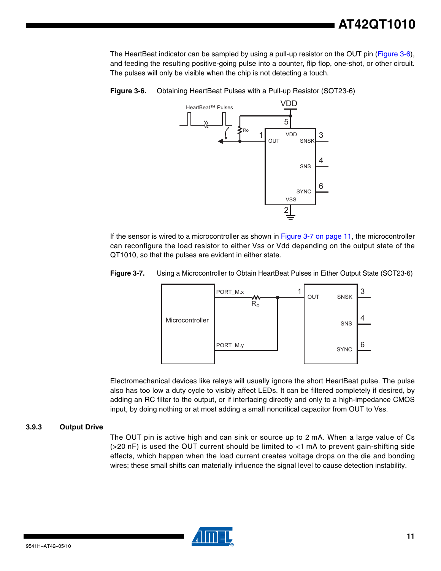The HeartBeat indicator can be sampled by using a pull-up resistor on the OUT pin [\(Figure 3-6\)](#page-10-0), and feeding the resulting positive-going pulse into a counter, flip flop, one-shot, or other circuit. The pulses will only be visible when the chip is not detecting a touch.

![](_page_10_Figure_2.jpeg)

<span id="page-10-0"></span>**Figure 3-6.** Obtaining HeartBeat Pulses with a Pull-up Resistor (SOT23-6)

If the sensor is wired to a microcontroller as shown in [Figure 3-7 on page 11](#page-10-1), the microcontroller can reconfigure the load resistor to either Vss or Vdd depending on the output state of the QT1010, so that the pulses are evident in either state.

<span id="page-10-1"></span>![](_page_10_Figure_5.jpeg)

![](_page_10_Figure_6.jpeg)

Electromechanical devices like relays will usually ignore the short HeartBeat pulse. The pulse also has too low a duty cycle to visibly affect LEDs. It can be filtered completely if desired, by adding an RC filter to the output, or if interfacing directly and only to a high-impedance CMOS input, by doing nothing or at most adding a small noncritical capacitor from OUT to Vss.

#### **3.9.3 Output Drive**

The OUT pin is active high and can sink or source up to 2 mA. When a large value of Cs (>20 nF) is used the OUT current should be limited to <1 mA to prevent gain-shifting side effects, which happen when the load current creates voltage drops on the die and bonding wires; these small shifts can materially influence the signal level to cause detection instability.

![](_page_10_Picture_10.jpeg)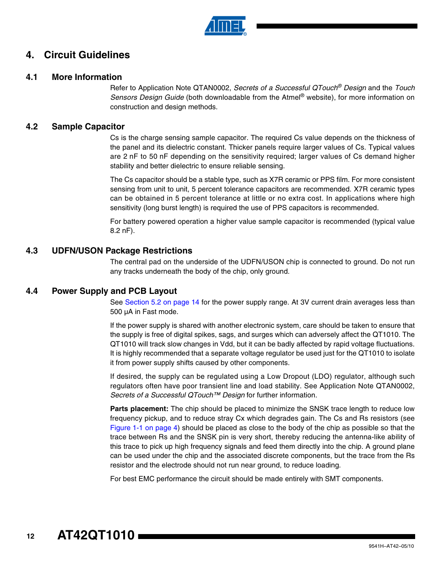![](_page_11_Picture_0.jpeg)

# **4. Circuit Guidelines**

## **4.1 More Information**

Refer to Application Note QTAN0002, *Secrets of a Successful QTouch® Design* and the *Touch Sensors Design Guide* (both downloadable from the Atmel® website), for more information on construction and design methods.

## <span id="page-11-0"></span>**4.2 Sample Capacitor**

Cs is the charge sensing sample capacitor. The required Cs value depends on the thickness of the panel and its dielectric constant. Thicker panels require larger values of Cs. Typical values are 2 nF to 50 nF depending on the sensitivity required; larger values of Cs demand higher stability and better dielectric to ensure reliable sensing.

The Cs capacitor should be a stable type, such as X7R ceramic or PPS film. For more consistent sensing from unit to unit, 5 percent tolerance capacitors are recommended. X7R ceramic types can be obtained in 5 percent tolerance at little or no extra cost. In applications where high sensitivity (long burst length) is required the use of PPS capacitors is recommended.

For battery powered operation a higher value sample capacitor is recommended (typical value 8.2 nF).

## **4.3 UDFN/USON Package Restrictions**

The central pad on the underside of the UDFN/USON chip is connected to ground. Do not run any tracks underneath the body of the chip, only ground.

## **4.4 Power Supply and PCB Layout**

See [Section 5.2 on page 14](#page-13-0) for the power supply range. At 3V current drain averages less than 500 µA in Fast mode.

If the power supply is shared with another electronic system, care should be taken to ensure that the supply is free of digital spikes, sags, and surges which can adversely affect the QT1010. The QT1010 will track slow changes in Vdd, but it can be badly affected by rapid voltage fluctuations. It is highly recommended that a separate voltage regulator be used just for the QT1010 to isolate it from power supply shifts caused by other components.

If desired, the supply can be regulated using a Low Dropout (LDO) regulator, although such regulators often have poor transient line and load stability. See Application Note QTAN0002, *Secrets of a Successful QTouch™ Design* for further information.

**Parts placement:** The chip should be placed to minimize the SNSK trace length to reduce low frequency pickup, and to reduce stray Cx which degrades gain. The Cs and Rs resistors (see [Figure 1-1 on page 4](#page-3-0)) should be placed as close to the body of the chip as possible so that the trace between Rs and the SNSK pin is very short, thereby reducing the antenna-like ability of this trace to pick up high frequency signals and feed them directly into the chip. A ground plane can be used under the chip and the associated discrete components, but the trace from the Rs resistor and the electrode should not run near ground, to reduce loading.

For best EMC performance the circuit should be made entirely with SMT components.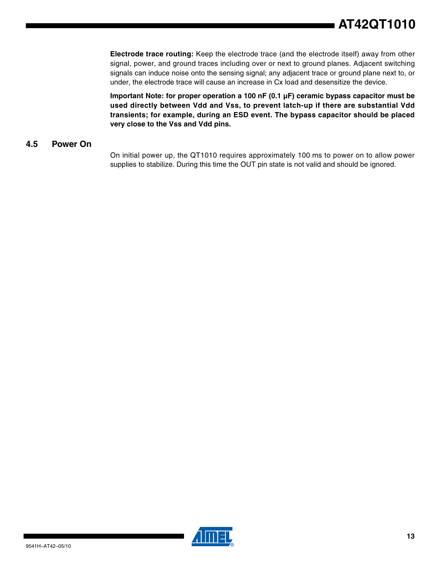**Electrode trace routing:** Keep the electrode trace (and the electrode itself) away from other signal, power, and ground traces including over or next to ground planes. Adjacent switching signals can induce noise onto the sensing signal; any adjacent trace or ground plane next to, or under, the electrode trace will cause an increase in Cx load and desensitize the device.

**Important Note: for proper operation a 100 nF (0.1 µF) ceramic bypass capacitor must be used directly between Vdd and Vss, to prevent latch-up if there are substantial Vdd transients; for example, during an ESD event. The bypass capacitor should be placed very close to the Vss and Vdd pins.**

# **4.5 Power On**

On initial power up, the QT1010 requires approximately 100 ms to power on to allow power supplies to stabilize. During this time the OUT pin state is not valid and should be ignored.

![](_page_12_Picture_5.jpeg)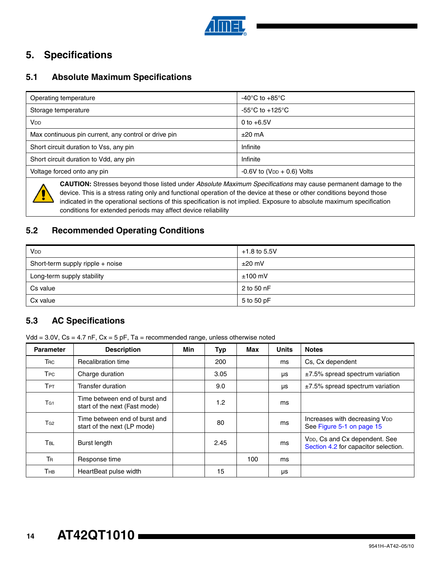![](_page_13_Picture_0.jpeg)

# **5. Specifications**

# **5.1 Absolute Maximum Specifications**

| Operating temperature                                                                                                                                                                                                                  | -40 $^{\circ}$ C to +85 $^{\circ}$ C       |  |  |  |  |
|----------------------------------------------------------------------------------------------------------------------------------------------------------------------------------------------------------------------------------------|--------------------------------------------|--|--|--|--|
| Storage temperature                                                                                                                                                                                                                    | $-55^{\circ}$ C to $+125^{\circ}$ C        |  |  |  |  |
| Vdd                                                                                                                                                                                                                                    | 0 to $+6.5V$                               |  |  |  |  |
| Max continuous pin current, any control or drive pin                                                                                                                                                                                   | $±20$ mA                                   |  |  |  |  |
| Short circuit duration to Vss, any pin                                                                                                                                                                                                 | Infinite                                   |  |  |  |  |
| Short circuit duration to Vdd, any pin                                                                                                                                                                                                 | Infinite                                   |  |  |  |  |
| Voltage forced onto any pin                                                                                                                                                                                                            | $-0.6V$ to (V <sub>DD</sub> $+$ 0.6) Volts |  |  |  |  |
| CAUTION: Stresses beyond those listed under Absolute Maximum Specifications may cause permanent damage to the<br>device. This is a stress rating only and functional operation of the device at these or other conditions beyond those |                                            |  |  |  |  |

indicated in the operational sections of this specification is not implied. Exposure to absolute maximum specification conditions for extended periods may affect device reliability

# <span id="page-13-0"></span>**5.2 Recommended Operating Conditions**

| <b>V<sub>DD</sub></b>            | $+1.8$ to 5.5V |  |
|----------------------------------|----------------|--|
| Short-term supply ripple + noise | $\pm 20$ mV    |  |
| Long-term supply stability       | $±100$ mV      |  |
| Cs value                         | 2 to 50 nF     |  |
| Cx value                         | 5 to 50 pF     |  |

# **5.3 AC Specifications**

Vdd =  $3.0V$ , Cs =  $4.7$  nF, Cx =  $5$  pF, Ta = recommended range, unless otherwise noted

| <b>Parameter</b>       | <b>Description</b>                                             | <b>Min</b> | Typ  | Max | <b>Units</b> | <b>Notes</b>                                                                       |
|------------------------|----------------------------------------------------------------|------------|------|-----|--------------|------------------------------------------------------------------------------------|
| <b>TRC</b>             | Recalibration time                                             |            | 200  |     | ms           | Cs, Cx dependent                                                                   |
| <b>T</b> <sub>PC</sub> | Charge duration                                                |            | 3.05 |     | μs           | $±7.5\%$ spread spectrum variation                                                 |
| TPT                    | Transfer duration                                              |            | 9.0  |     | μs           | ±7.5% spread spectrum variation                                                    |
| T <sub>G1</sub>        | Time between end of burst and<br>start of the next (Fast mode) |            | 1.2  |     | ms           |                                                                                    |
| T <sub>G2</sub>        | Time between end of burst and<br>start of the next (LP mode)   |            | 80   |     | ms           | Increases with decreasing VDD<br>See Figure 5-1 on page 15                         |
| <b>TBL</b>             | Burst length                                                   |            | 2.45 |     | ms           | V <sub>DD</sub> , Cs and Cx dependent. See<br>Section 4.2 for capacitor selection. |
| <b>TR</b>              | Response time                                                  |            |      | 100 | ms           |                                                                                    |
| Тнв                    | HeartBeat pulse width                                          |            | 15   |     | μs           |                                                                                    |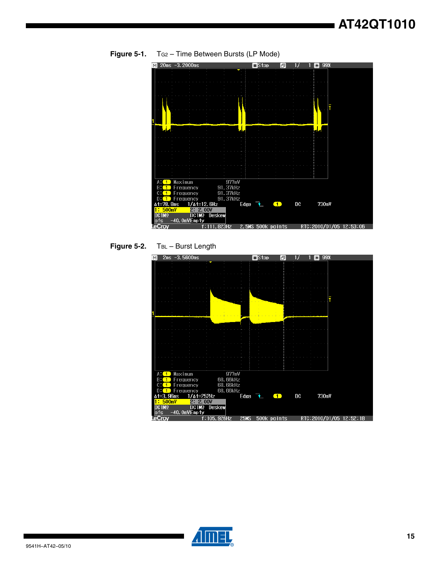![](_page_14_Figure_1.jpeg)

<span id="page-14-0"></span>**Figure 5-1.** TG2 – Time Between Bursts (LP Mode)

![](_page_14_Figure_3.jpeg)

![](_page_14_Figure_4.jpeg)

![](_page_14_Picture_5.jpeg)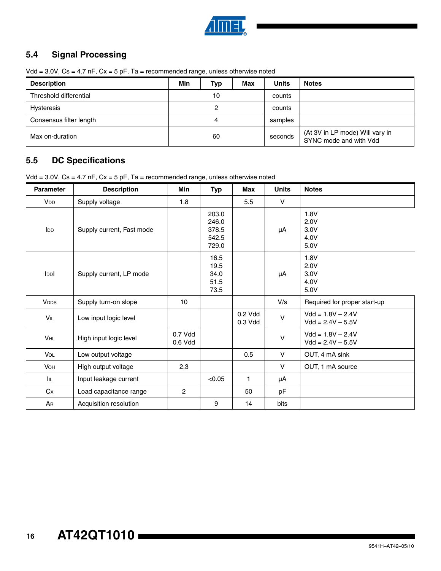![](_page_15_Picture_0.jpeg)

# **5.4 Signal Processing**

Vdd =  $3.0V$ , Cs =  $4.7$  nF, Cx =  $5$  pF, Ta = recommended range, unless otherwise noted

| <b>Description</b>      | Min | Typ | Max     | <b>Units</b> | <b>Notes</b>                                              |
|-------------------------|-----|-----|---------|--------------|-----------------------------------------------------------|
| Threshold differential  | 10  |     | counts  |              |                                                           |
| Hysteresis              | 2   |     | counts  |              |                                                           |
| Consensus filter length | 4   |     | samples |              |                                                           |
| Max on-duration         | 60  |     |         | seconds      | (At 3V in LP mode) Will vary in<br>SYNC mode and with Vdd |

# **5.5 DC Specifications**

Vdd =  $3.0V$ , Cs =  $4.7$  nF, Cx =  $5$  pF, Ta = recommended range, unless otherwise noted

| <b>Parameter</b>      | <b>Description</b>        | <b>Min</b>         | <b>Typ</b>                                | Max                  | <b>Units</b> | <b>Notes</b>                               |
|-----------------------|---------------------------|--------------------|-------------------------------------------|----------------------|--------------|--------------------------------------------|
| <b>V<sub>DD</sub></b> | Supply voltage            | 1.8                |                                           | 5.5                  | V            |                                            |
| <b>IDD</b>            | Supply current, Fast mode |                    | 203.0<br>246.0<br>378.5<br>542.5<br>729.0 |                      | μA           | 1.8V<br>2.0V<br>3.0V<br>4.0V<br>5.0V       |
| Ippl                  | Supply current, LP mode   |                    | 16.5<br>19.5<br>34.0<br>51.5<br>73.5      |                      | μA           | 1.8V<br>2.0V<br>3.0V<br>4.0V<br>5.0V       |
| <b>VDDS</b>           | Supply turn-on slope      | 10                 |                                           |                      | V/s          | Required for proper start-up               |
| VIL                   | Low input logic level     |                    |                                           | 0.2 Vdd<br>$0.3$ Vdd | $\vee$       | $Vdd = 1.8V - 2.4V$<br>$Vdd = 2.4V - 5.5V$ |
| VHL                   | High input logic level    | 0.7 Vdd<br>0.6 Vdd |                                           |                      | $\vee$       | $Vdd = 1.8V - 2.4V$<br>$Vdd = 2.4V - 5.5V$ |
| VOL                   | Low output voltage        |                    |                                           | 0.5                  | $\vee$       | OUT, 4 mA sink                             |
| <b>VOH</b>            | High output voltage       | 2.3                |                                           |                      | $\vee$       | OUT, 1 mA source                           |
| IIL.                  | Input leakage current     |                    | < 0.05                                    | $\mathbf{1}$         | μA           |                                            |
| Cx                    | Load capacitance range    | $\mathbf{2}$       |                                           | 50                   | pF           |                                            |
| AR                    | Acquisition resolution    |                    | 9                                         | 14                   | bits         |                                            |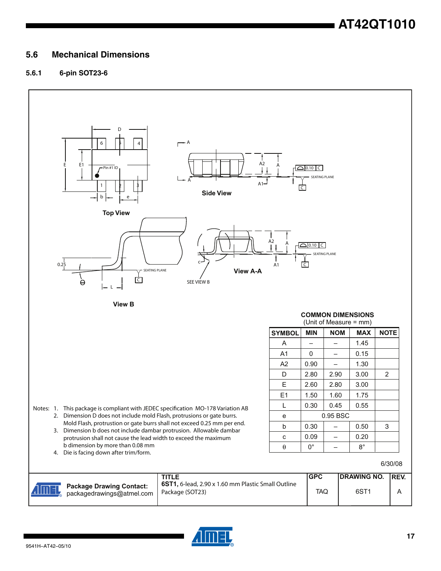# **5.6 Mechanical Dimensions**

## **5.6.1 6-pin SOT23-6**

![](_page_16_Figure_3.jpeg)

![](_page_16_Picture_4.jpeg)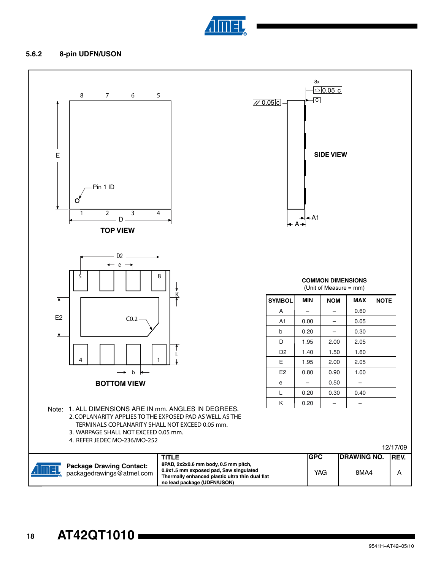![](_page_17_Picture_0.jpeg)

#### **5.6.2 8-pin UDFN/USON**

![](_page_17_Figure_2.jpeg)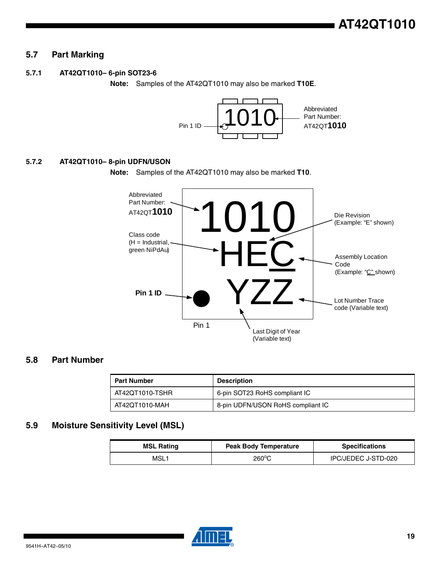# **5.7 Part Marking**

#### **5.7.1 AT42QT1010– 6-pin SOT23-6**

**Note:** Samples of the AT42QT1010 may also be marked **T10E**.

![](_page_18_Figure_4.jpeg)

#### **5.7.2 AT42QT1010– 8-pin UDFN/USON**

**Note:** Samples of the AT42QT1010 may also be marked **T10**.

![](_page_18_Figure_7.jpeg)

## **5.8 Part Number**

| <b>Part Number</b> | <b>Description</b>                |  |  |
|--------------------|-----------------------------------|--|--|
| AT42QT1010-TSHR    | 6-pin SOT23 RoHS compliant IC     |  |  |
| AT42QT1010-MAH     | 8-pin UDFN/USON RoHS compliant IC |  |  |

# **5.9 Moisture Sensitivity Level (MSL)**

| <b>MSL Rating</b> | <b>Peak Body Temperature</b> | <b>Specifications</b> |
|-------------------|------------------------------|-----------------------|
| MSL1              | 260°C                        | IPC/JEDEC J-STD-020   |

![](_page_18_Picture_12.jpeg)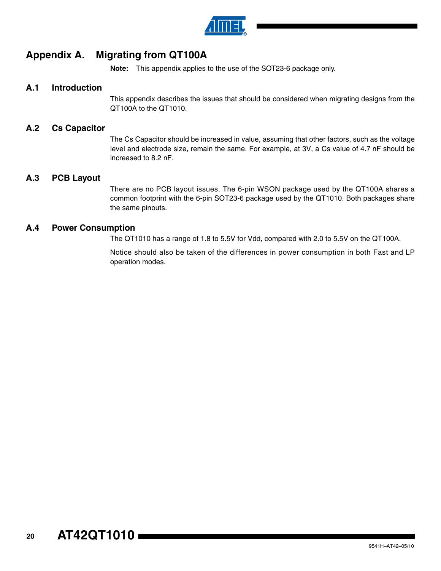![](_page_19_Picture_0.jpeg)

# **Appendix A. Migrating from QT100A**

**Note:** This appendix applies to the use of the SOT23-6 package only.

# **A.1 Introduction**

This appendix describes the issues that should be considered when migrating designs from the QT100A to the QT1010.

## **A.2 Cs Capacitor**

The Cs Capacitor should be increased in value, assuming that other factors, such as the voltage level and electrode size, remain the same. For example, at 3V, a Cs value of 4.7 nF should be increased to 8.2 nF.

## **A.3 PCB Layout**

There are no PCB layout issues. The 6-pin WSON package used by the QT100A shares a common footprint with the 6-pin SOT23-6 package used by the QT1010. Both packages share the same pinouts.

## **A.4 Power Consumption**

The QT1010 has a range of 1.8 to 5.5V for Vdd, compared with 2.0 to 5.5V on the QT100A.

Notice should also be taken of the differences in power consumption in both Fast and LP operation modes.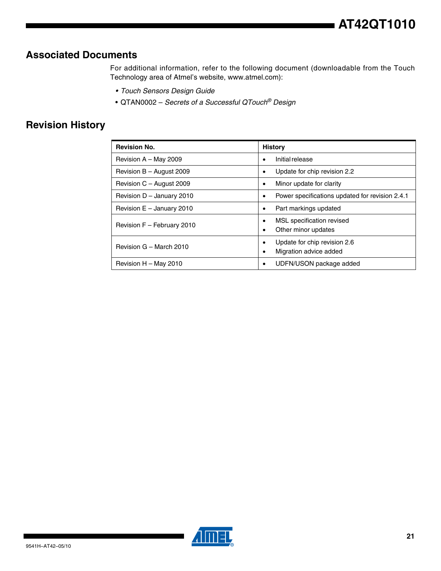# **Associated Documents**

For additional information, refer to the following document (downloadable from the Touch Technology area of Atmel's website, www.atmel.com):

- *Touch Sensors Design Guide*
- QTAN0002 *Secrets of a Successful QTouch® Design*

# **Revision History**

| <b>Revision No.</b>         | <b>History</b>                                              |
|-----------------------------|-------------------------------------------------------------|
| Revision A - May 2009       | Initial release<br>٠                                        |
| Revision $B -$ August 2009  | Update for chip revision 2.2<br>٠                           |
| Revision C - August 2009    | Minor update for clarity<br>$\bullet$                       |
| Revision D - January 2010   | Power specifications updated for revision 2.4.1<br>٠        |
| Revision $E -$ January 2010 | Part markings updated<br>$\bullet$                          |
| Revision F - February 2010  | MSL specification revised<br>٠<br>Other minor updates<br>٠  |
| Revision G - March 2010     | Update for chip revision 2.6<br>٠<br>Migration advice added |
| Revision H - May 2010       | UDFN/USON package added                                     |

![](_page_20_Picture_7.jpeg)